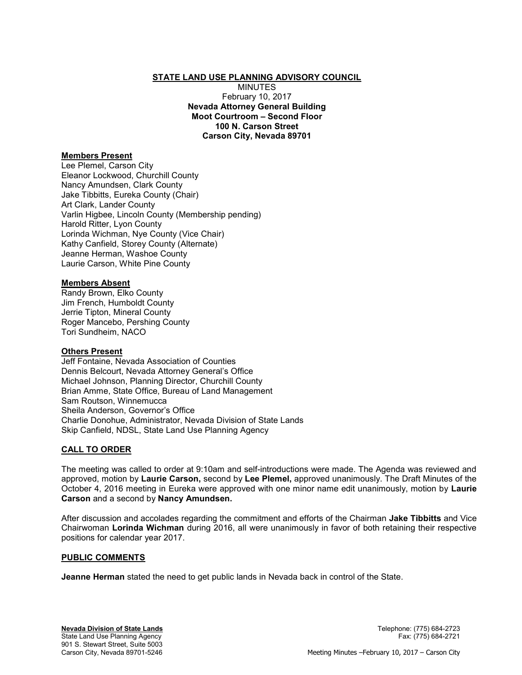# STATE LAND USE PLANNING ADVISORY COUNCIL

MINUTES February 10, 2017 Nevada Attorney General Building Moot Courtroom – Second Floor 100 N. Carson Street Carson City, Nevada 89701

#### Members Present

Lee Plemel, Carson City Eleanor Lockwood, Churchill County Nancy Amundsen, Clark County Jake Tibbitts, Eureka County (Chair) Art Clark, Lander County Varlin Higbee, Lincoln County (Membership pending) Harold Ritter, Lyon County Lorinda Wichman, Nye County (Vice Chair) Kathy Canfield, Storey County (Alternate) Jeanne Herman, Washoe County Laurie Carson, White Pine County

#### Members Absent

Randy Brown, Elko County Jim French, Humboldt County Jerrie Tipton, Mineral County Roger Mancebo, Pershing County Tori Sundheim, NACO

#### Others Present

Jeff Fontaine, Nevada Association of Counties Dennis Belcourt, Nevada Attorney General's Office Michael Johnson, Planning Director, Churchill County Brian Amme, State Office, Bureau of Land Management Sam Routson, Winnemucca Sheila Anderson, Governor's Office Charlie Donohue, Administrator, Nevada Division of State Lands Skip Canfield, NDSL, State Land Use Planning Agency

#### CALL TO ORDER

The meeting was called to order at 9:10am and self-introductions were made. The Agenda was reviewed and approved, motion by Laurie Carson, second by Lee Plemel, approved unanimously. The Draft Minutes of the October 4, 2016 meeting in Eureka were approved with one minor name edit unanimously, motion by Laurie Carson and a second by Nancy Amundsen.

After discussion and accolades regarding the commitment and efforts of the Chairman Jake Tibbitts and Vice Chairwoman Lorinda Wichman during 2016, all were unanimously in favor of both retaining their respective positions for calendar year 2017.

#### PUBLIC COMMENTS

Jeanne Herman stated the need to get public lands in Nevada back in control of the State.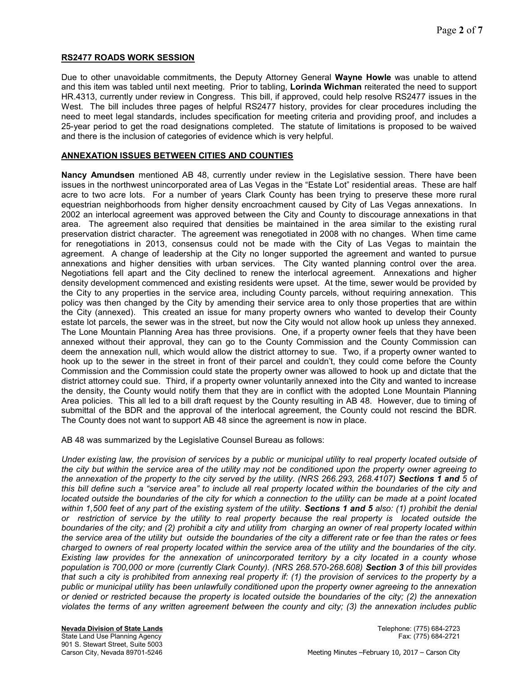## RS2477 ROADS WORK SESSION

Due to other unavoidable commitments, the Deputy Attorney General Wayne Howle was unable to attend and this item was tabled until next meeting. Prior to tabling, Lorinda Wichman reiterated the need to support HR.4313, currently under review in Congress. This bill, if approved, could help resolve RS2477 issues in the West. The bill includes three pages of helpful RS2477 history, provides for clear procedures including the need to meet legal standards, includes specification for meeting criteria and providing proof, and includes a 25-year period to get the road designations completed. The statute of limitations is proposed to be waived and there is the inclusion of categories of evidence which is very helpful.

## ANNEXATION ISSUES BETWEEN CITIES AND COUNTIES

Nancy Amundsen mentioned AB 48, currently under review in the Legislative session. There have been issues in the northwest unincorporated area of Las Vegas in the "Estate Lot" residential areas. These are half acre to two acre lots. For a number of years Clark County has been trying to preserve these more rural equestrian neighborhoods from higher density encroachment caused by City of Las Vegas annexations. In 2002 an interlocal agreement was approved between the City and County to discourage annexations in that area. The agreement also required that densities be maintained in the area similar to the existing rural preservation district character. The agreement was renegotiated in 2008 with no changes. When time came for renegotiations in 2013, consensus could not be made with the City of Las Vegas to maintain the agreement. A change of leadership at the City no longer supported the agreement and wanted to pursue annexations and higher densities with urban services. The City wanted planning control over the area. Negotiations fell apart and the City declined to renew the interlocal agreement. Annexations and higher density development commenced and existing residents were upset. At the time, sewer would be provided by the City to any properties in the service area, including County parcels, without requiring annexation. This policy was then changed by the City by amending their service area to only those properties that are within the City (annexed). This created an issue for many property owners who wanted to develop their County estate lot parcels, the sewer was in the street, but now the City would not allow hook up unless they annexed. The Lone Mountain Planning Area has three provisions. One, if a property owner feels that they have been annexed without their approval, they can go to the County Commission and the County Commission can deem the annexation null, which would allow the district attorney to sue. Two, if a property owner wanted to hook up to the sewer in the street in front of their parcel and couldn't, they could come before the County Commission and the Commission could state the property owner was allowed to hook up and dictate that the district attorney could sue. Third, if a property owner voluntarily annexed into the City and wanted to increase the density, the County would notify them that they are in conflict with the adopted Lone Mountain Planning Area policies. This all led to a bill draft request by the County resulting in AB 48. However, due to timing of submittal of the BDR and the approval of the interlocal agreement, the County could not rescind the BDR. The County does not want to support AB 48 since the agreement is now in place.

AB 48 was summarized by the Legislative Counsel Bureau as follows:

Under existing law, the provision of services by a public or municipal utility to real property located outside of the city but within the service area of the utility may not be conditioned upon the property owner agreeing to the annexation of the property to the city served by the utility. (NRS 266.293, 268.4107) Sections 1 and 5 of this bill define such a "service area" to include all real property located within the boundaries of the city and located outside the boundaries of the city for which a connection to the utility can be made at a point located within 1,500 feet of any part of the existing system of the utility. Sections 1 and 5 also: (1) prohibit the denial or restriction of service by the utility to real property because the real property is located outside the boundaries of the city; and (2) prohibit a city and utility from charging an owner of real property located within the service area of the utility but outside the boundaries of the city a different rate or fee than the rates or fees charged to owners of real property located within the service area of the utility and the boundaries of the city. Existing law provides for the annexation of unincorporated territory by a city located in a county whose population is 700,000 or more (currently Clark County). (NRS 268.570-268.608) Section 3 of this bill provides that such a city is prohibited from annexing real property if: (1) the provision of services to the property by a public or municipal utility has been unlawfully conditioned upon the property owner agreeing to the annexation or denied or restricted because the property is located outside the boundaries of the city; (2) the annexation violates the terms of any written agreement between the county and city; (3) the annexation includes public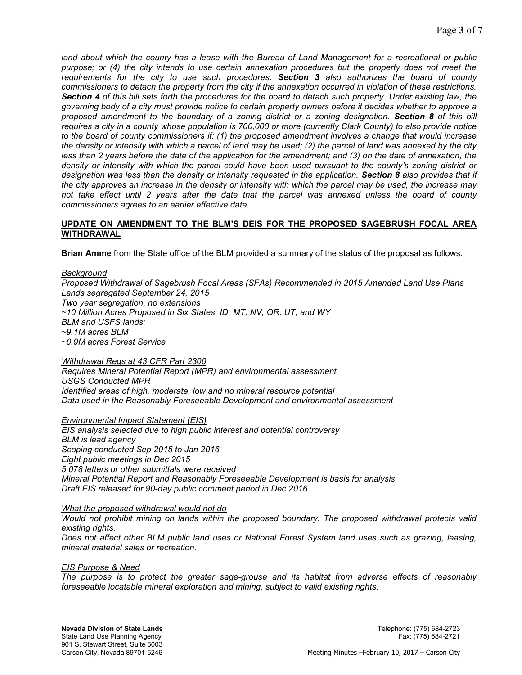land about which the county has a lease with the Bureau of Land Management for a recreational or public purpose; or (4) the city intends to use certain annexation procedures but the property does not meet the requirements for the city to use such procedures. Section 3 also authorizes the board of county commissioners to detach the property from the city if the annexation occurred in violation of these restrictions. Section 4 of this bill sets forth the procedures for the board to detach such property. Under existing law, the governing body of a city must provide notice to certain property owners before it decides whether to approve a proposed amendment to the boundary of a zoning district or a zoning designation. Section 8 of this bill requires a city in a county whose population is 700,000 or more (currently Clark County) to also provide notice to the board of county commissioners if: (1) the proposed amendment involves a change that would increase the density or intensity with which a parcel of land may be used; (2) the parcel of land was annexed by the city less than 2 years before the date of the application for the amendment; and (3) on the date of annexation, the density or intensity with which the parcel could have been used pursuant to the county's zoning district or designation was less than the density or intensity requested in the application. Section 8 also provides that if the city approves an increase in the density or intensity with which the parcel may be used, the increase may not take effect until 2 years after the date that the parcel was annexed unless the board of county commissioners agrees to an earlier effective date.

#### UPDATE ON AMENDMENT TO THE BLM'S DEIS FOR THE PROPOSED SAGEBRUSH FOCAL AREA WITHDRAWAL

Brian Amme from the State office of the BLM provided a summary of the status of the proposal as follows:

**Background** 

Proposed Withdrawal of Sagebrush Focal Areas (SFAs) Recommended in 2015 Amended Land Use Plans Lands segregated September 24, 2015 Two year segregation, no extensions ~10 Million Acres Proposed in Six States: ID, MT, NV, OR, UT, and WY BLM and USFS lands: ~9.1M acres BLM ~0.9M acres Forest Service

Withdrawal Regs at 43 CFR Part 2300

Requires Mineral Potential Report (MPR) and environmental assessment USGS Conducted MPR Identified areas of high, moderate, low and no mineral resource potential Data used in the Reasonably Foreseeable Development and environmental assessment

Environmental Impact Statement (EIS)

EIS analysis selected due to high public interest and potential controversy BLM is lead agency Scoping conducted Sep 2015 to Jan 2016 Eight public meetings in Dec 2015 5,078 letters or other submittals were received Mineral Potential Report and Reasonably Foreseeable Development is basis for analysis Draft EIS released for 90-day public comment period in Dec 2016

What the proposed withdrawal would not do

Would not prohibit mining on lands within the proposed boundary. The proposed withdrawal protects valid existing rights.

Does not affect other BLM public land uses or National Forest System land uses such as grazing, leasing, mineral material sales or recreation.

## EIS Purpose & Need

The purpose is to protect the greater sage-grouse and its habitat from adverse effects of reasonably foreseeable locatable mineral exploration and mining, subject to valid existing rights.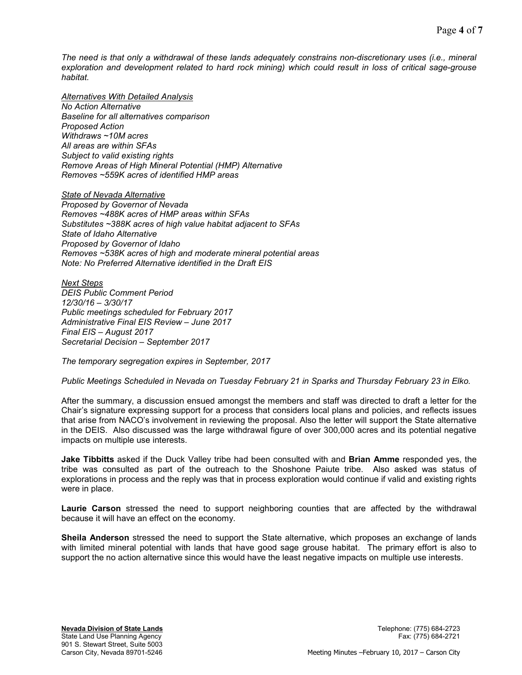The need is that only a withdrawal of these lands adequately constrains non-discretionary uses (i.e., mineral exploration and development related to hard rock mining) which could result in loss of critical sage-grouse habitat.

Alternatives With Detailed Analysis No Action Alternative Baseline for all alternatives comparison Proposed Action Withdraws ~10M acres All areas are within SFAs Subject to valid existing rights Remove Areas of High Mineral Potential (HMP) Alternative Removes ~559K acres of identified HMP areas

State of Nevada Alternative Proposed by Governor of Nevada Removes ~488K acres of HMP areas within SFAs Substitutes ~388K acres of high value habitat adjacent to SFAs State of Idaho Alternative Proposed by Governor of Idaho Removes ~538K acres of high and moderate mineral potential areas Note: No Preferred Alternative identified in the Draft EIS

Next Steps DEIS Public Comment Period 12/30/16 – 3/30/17 Public meetings scheduled for February 2017 Administrative Final EIS Review – June 2017 Final EIS – August 2017 Secretarial Decision – September 2017

The temporary segregation expires in September, 2017

Public Meetings Scheduled in Nevada on Tuesday February 21 in Sparks and Thursday February 23 in Elko.

After the summary, a discussion ensued amongst the members and staff was directed to draft a letter for the Chair's signature expressing support for a process that considers local plans and policies, and reflects issues that arise from NACO's involvement in reviewing the proposal. Also the letter will support the State alternative in the DEIS. Also discussed was the large withdrawal figure of over 300,000 acres and its potential negative impacts on multiple use interests.

Jake Tibbitts asked if the Duck Valley tribe had been consulted with and Brian Amme responded yes, the tribe was consulted as part of the outreach to the Shoshone Paiute tribe. Also asked was status of explorations in process and the reply was that in process exploration would continue if valid and existing rights were in place.

Laurie Carson stressed the need to support neighboring counties that are affected by the withdrawal because it will have an effect on the economy.

Sheila Anderson stressed the need to support the State alternative, which proposes an exchange of lands with limited mineral potential with lands that have good sage grouse habitat. The primary effort is also to support the no action alternative since this would have the least negative impacts on multiple use interests.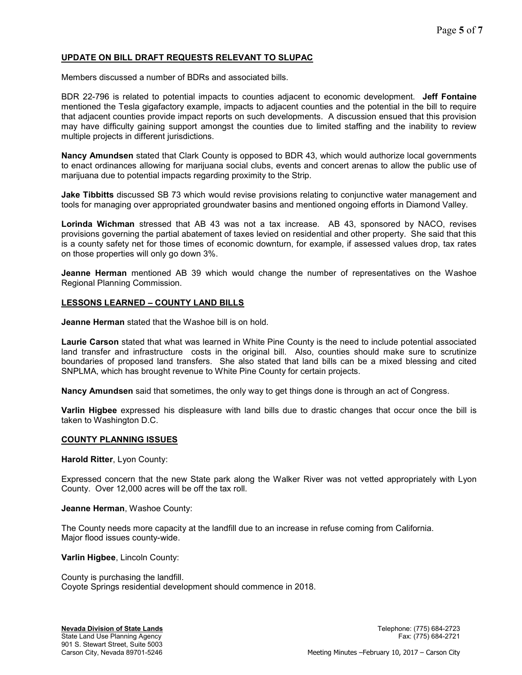# UPDATE ON BILL DRAFT REQUESTS RELEVANT TO SLUPAC

Members discussed a number of BDRs and associated bills.

BDR 22-796 is related to potential impacts to counties adjacent to economic development. Jeff Fontaine mentioned the Tesla gigafactory example, impacts to adjacent counties and the potential in the bill to require that adjacent counties provide impact reports on such developments. A discussion ensued that this provision may have difficulty gaining support amongst the counties due to limited staffing and the inability to review multiple projects in different jurisdictions.

Nancy Amundsen stated that Clark County is opposed to BDR 43, which would authorize local governments to enact ordinances allowing for marijuana social clubs, events and concert arenas to allow the public use of marijuana due to potential impacts regarding proximity to the Strip.

**Jake Tibbitts** discussed SB 73 which would revise provisions relating to conjunctive water management and tools for managing over appropriated groundwater basins and mentioned ongoing efforts in Diamond Valley.

Lorinda Wichman stressed that AB 43 was not a tax increase. AB 43, sponsored by NACO, revises provisions governing the partial abatement of taxes levied on residential and other property. She said that this is a county safety net for those times of economic downturn, for example, if assessed values drop, tax rates on those properties will only go down 3%.

**Jeanne Herman** mentioned AB 39 which would change the number of representatives on the Washoe Regional Planning Commission.

#### LESSONS LEARNED – COUNTY LAND BILLS

Jeanne Herman stated that the Washoe bill is on hold.

Laurie Carson stated that what was learned in White Pine County is the need to include potential associated land transfer and infrastructure costs in the original bill. Also, counties should make sure to scrutinize boundaries of proposed land transfers. She also stated that land bills can be a mixed blessing and cited SNPLMA, which has brought revenue to White Pine County for certain projects.

Nancy Amundsen said that sometimes, the only way to get things done is through an act of Congress.

Varlin Higbee expressed his displeasure with land bills due to drastic changes that occur once the bill is taken to Washington D.C.

#### COUNTY PLANNING ISSUES

Harold Ritter, Lyon County:

Expressed concern that the new State park along the Walker River was not vetted appropriately with Lyon County. Over 12,000 acres will be off the tax roll.

Jeanne Herman, Washoe County:

The County needs more capacity at the landfill due to an increase in refuse coming from California. Major flood issues county-wide.

Varlin Higbee, Lincoln County:

County is purchasing the landfill. Coyote Springs residential development should commence in 2018.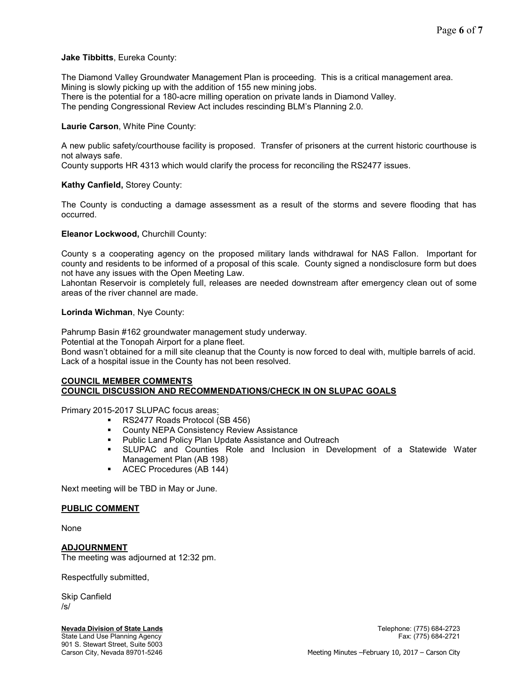# Jake Tibbitts, Eureka County:

The Diamond Valley Groundwater Management Plan is proceeding. This is a critical management area. Mining is slowly picking up with the addition of 155 new mining jobs. There is the potential for a 180-acre milling operation on private lands in Diamond Valley. The pending Congressional Review Act includes rescinding BLM's Planning 2.0.

#### Laurie Carson, White Pine County:

A new public safety/courthouse facility is proposed. Transfer of prisoners at the current historic courthouse is not always safe.

County supports HR 4313 which would clarify the process for reconciling the RS2477 issues.

#### Kathy Canfield, Storey County:

The County is conducting a damage assessment as a result of the storms and severe flooding that has occurred.

#### Eleanor Lockwood, Churchill County:

County s a cooperating agency on the proposed military lands withdrawal for NAS Fallon. Important for county and residents to be informed of a proposal of this scale. County signed a nondisclosure form but does not have any issues with the Open Meeting Law.

Lahontan Reservoir is completely full, releases are needed downstream after emergency clean out of some areas of the river channel are made.

#### Lorinda Wichman, Nye County:

Pahrump Basin #162 groundwater management study underway.

Potential at the Tonopah Airport for a plane fleet.

Bond wasn't obtained for a mill site cleanup that the County is now forced to deal with, multiple barrels of acid. Lack of a hospital issue in the County has not been resolved.

#### COUNCIL MEMBER COMMENTS COUNCIL DISCUSSION AND RECOMMENDATIONS/CHECK IN ON SLUPAC GOALS

Primary 2015-2017 SLUPAC focus areas:

- **RS2477 Roads Protocol (SB 456)**
- **EXECOUNTY NEPA Consistency Review Assistance**
- **Public Land Policy Plan Update Assistance and Outreach**
- SLUPAC and Counties Role and Inclusion in Development of a Statewide Water Management Plan (AB 198)
- **ACEC Procedures (AB 144)**

Next meeting will be TBD in May or June.

#### PUBLIC COMMENT

None

#### ADJOURNMENT

The meeting was adjourned at 12:32 pm.

Respectfully submitted,

Skip Canfield /s/

# Nevada Division of State Lands **Nevada Division of State Lands** Telephone: (775) 684-2723

901 S. Stewart Street, Suite 5003